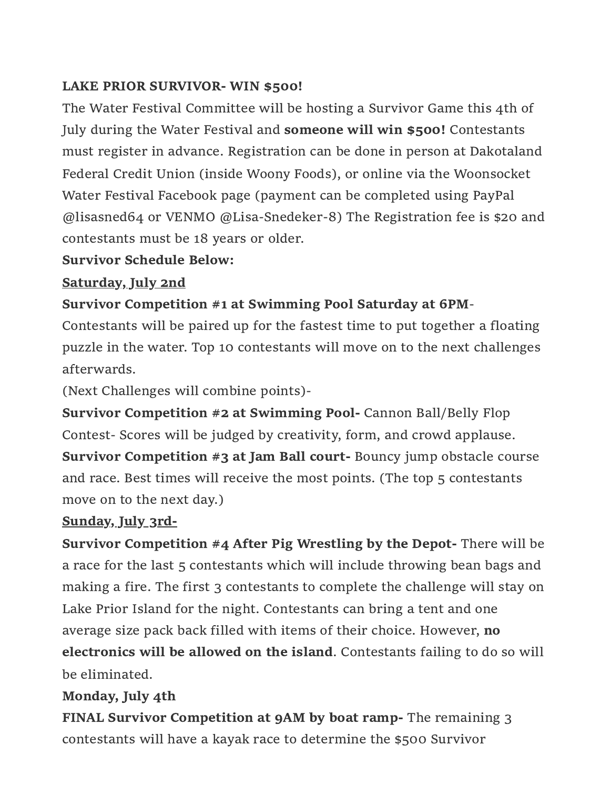### LAKE PRIOR SURVIVOR- WIN \$500!

The Water Festival Committee will be hosting a Survivor Game this 4th of July during the Water Festival and someone will win \$500! Contestants must register in advance. Registration can be done in person at Dakotaland Federal Credit Union (inside Woony Foods), or online via the Woonsocket Water Festival Facebook page (payment can be completed using PayPal @lisasned64 or VENMO @Lisa-Snedeker-8) The Registration fee is \$20 and contestants must be 18 years or older.

### Survivor Schedule Below:

# Saturday, July 2nd

# Survivor Competition #1 at Swimming Pool Saturday at 6PM-

Contestants will be paired up for the fastest time to put together a floating puzzle in the water. Top 10 contestants will move on to the next challenges afterwards.

(Next Challenges will combine points)-

Survivor Competition #2 at Swimming Pool- Cannon Ball/Belly Flop Contest- Scores will be judged by creativity, form, and crowd applause. Survivor Competition #3 at Jam Ball court- Bouncy jump obstacle course and race. Best times will receive the most points. (The top 5 contestants move on to the next day.)

### Sunday, July 3rd-

Survivor Competition #4 After Pig Wrestling by the Depot- There will be a race for the last 5 contestants which will include throwing bean bags and making a fire. The first 3 contestants to complete the challenge will stay on Lake Prior Island for the night. Contestants can bring a tent and one average size pack back filled with items of their choice. However, no electronics will be allowed on the island. Contestants failing to do so will be eliminated.

# Monday, July 4th

FINAL Survivor Competition at 9AM by boat ramp- The remaining 3 contestants will have a kayak race to determine the \$500 Survivor